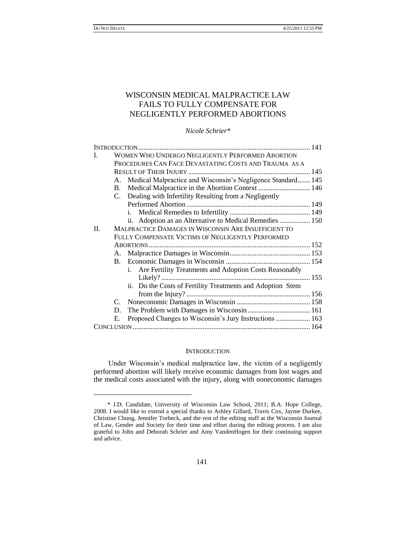$\overline{a}$ 

# WISCONSIN MEDICAL MALPRACTICE LAW FAILS TO FULLY COMPENSATE FOR NEGLIGENTLY PERFORMED ABORTIONS

*Nicole Schrier\**

| L       |                                                   | WOMEN WHO UNDERGO NEGLIGENTLY PERFORMED ABORTION               |  |
|---------|---------------------------------------------------|----------------------------------------------------------------|--|
|         |                                                   | PROCEDURES CAN FACE DEVASTATING COSTS AND TRAUMA AS A          |  |
|         |                                                   |                                                                |  |
|         |                                                   | A. Medical Malpractice and Wisconsin's Negligence Standard 145 |  |
|         | B.                                                |                                                                |  |
|         |                                                   | C. Dealing with Infertility Resulting from a Negligently       |  |
|         |                                                   |                                                                |  |
|         |                                                   |                                                                |  |
|         |                                                   | ii. Adoption as an Alternative to Medical Remedies  150        |  |
| $\Pi$ . |                                                   | MALPRACTICE DAMAGES IN WISCONSIN ARE INSUFFICIENT TO           |  |
|         | FULLY COMPENSATE VICTIMS OF NEGLIGENTLY PERFORMED |                                                                |  |
|         |                                                   |                                                                |  |
|         |                                                   |                                                                |  |
|         |                                                   |                                                                |  |
|         |                                                   | i. Are Fertility Treatments and Adoption Costs Reasonably      |  |
|         |                                                   |                                                                |  |
|         |                                                   | ii. Do the Costs of Fertility Treatments and Adoption Stem     |  |
|         |                                                   |                                                                |  |
|         | C.                                                |                                                                |  |
|         | D.                                                |                                                                |  |
|         | Е.                                                | Proposed Changes to Wisconsin's Jury Instructions  163         |  |
|         |                                                   |                                                                |  |

### **INTRODUCTION**

Under Wisconsin"s medical malpractice law, the victim of a negligently performed abortion will likely receive economic damages from lost wages and the medical costs associated with the injury, along with noneconomic damages

<sup>\*</sup> J.D. Candidate, University of Wisconsin Law School, 2011; B.A. Hope College, 2008. I would like to extend a special thanks to Ashley Gillard, Travis Cox, Jayme Durkee, Christine Chung, Jennifer Torbeck, and the rest of the editing staff at the Wisconsin Journal of Law, Gender and Society for their time and effort during the editing process. I am also grateful to John and Deborah Schrier and Amy VandenHogen for their continuing support and advice.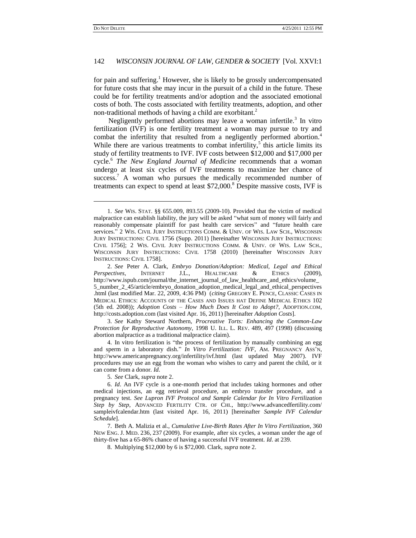# 142 *WISCONSIN JOURNAL OF LAW, GENDER & SOCIETY* [Vol. XXVI:1

for pain and suffering.<sup>1</sup> However, she is likely to be grossly undercompensated for future costs that she may incur in the pursuit of a child in the future. These could be for fertility treatments and/or adoption and the associated emotional costs of both. The costs associated with fertility treatments, adoption, and other non-traditional methods of having a child are exorbitant.<sup>2</sup>

<span id="page-1-0"></span>Negligently performed abortions may leave a woman infertile.<sup>3</sup> In vitro fertilization (IVF) is one fertility treatment a woman may pursue to try and combat the infertility that resulted from a negligently performed abortion.<sup>4</sup> While there are various treatments to combat infertility, $5$  this article limits its study of fertility treatments to IVF. IVF costs between \$12,000 and \$17,000 per cycle.<sup>6</sup> *The New England Journal of Medicine* recommends that a woman undergo at least six cycles of IVF treatments to maximize her chance of success.<sup>7</sup> A woman who pursues the medically recommended number of treatments can expect to spend at least \$72,000.<sup>8</sup> Despite massive costs, IVF is

3. *See* Kathy Steward Northern, *Procreative Torts: Enhancing the Common-Law Protection for Reproductive Autonomy*, 1998 U. ILL. L. REV. 489, 497 (1998) (discussing abortion malpractice as a traditional malpractice claim).

4. In vitro fertilization is "the process of fertilization by manually combining an egg and sperm in a laboratory dish." *In Vitro Fertilization: IVF*, AM. PREGNANCY ASS"N, http://www.americanpregnancy.org/infertility/ivf.html (last updated May 2007). IVF procedures may use an egg from the woman who wishes to carry and parent the child, or it can come from a donor. *Id*.

5. *See* Clark, *supra* note 2.

<sup>1.</sup> *See* WIS. STAT. §§ 655.009, 893.55 (2009-10). Provided that the victim of medical malpractice can establish liability, the jury will be asked "what sum of money will fairly and reasonably compensate plaintiff for past health care services" and "future health care services." 2 WIS. CIVIL JURY INSTRUCTIONS COMM. & UNIV. OF WIS. LAW SCH., WISCONSIN JURY INSTRUCTIONS: CIVIL 1756 (Supp. 2011) [hereinafter WISCONSIN JURY INSTRUCTIONS: CIVIL 1756]; 2 WIS. CIVIL JURY INSTRUCTIONS COMM. & UNIV. OF WIS. LAW SCH., WISCONSIN JURY INSTRUCTIONS: CIVIL 1758 (2010) [hereinafter WISCONSIN JURY INSTRUCTIONS: CIVIL 1758].

<sup>2.</sup> *See* Peter A. Clark, *Embryo Donation/Adoption: Medical, Legal and Ethical Perspectives*, INTERNET J.L., HEALTHCARE & ETHICS (2009), http://www.ispub.com/journal/the\_internet\_journal\_of\_law\_healthcare\_and\_ethics/volume\_ 5\_number\_2\_45/article/embryo\_donation\_adoption\_medical\_legal\_and\_ethical\_perspectives .html (last modified Mar. 22, 2009, 4:36 PM) (*citing* GREGORY E. PENCE, CLASSIC CASES IN MEDICAL ETHICS: ACCOUNTS OF THE CASES AND ISSUES HAT DEFINE MEDICAL ETHICS 102 (5th ed. 2008)); *Adoption Costs – How Much Does It Cost to Adopt?*, ADOPTION.COM, http://costs.adoption.com (last visited Apr. 16, 2011) [hereinafter *Adoption Costs*].

<sup>6.</sup> *Id*. An IVF cycle is a one-month period that includes taking hormones and other medical injections, an egg retrieval procedure, an embryo transfer procedure, and a pregnancy test. *See Lupron IVF Protocol and Sample Calendar for In Vitro Fertilization Step by Step*, ADVANCED FERTILITY CTR. OF CHI., http://www.advancedfertility.com/ sampleivfcalendar.htm (last visited Apr. 16, 2011) [hereinafter *Sample IVF Calendar Schedule*].

<sup>7.</sup> Beth A. Malizia et al., *Cumulative Live-Birth Rates After In Vitro Fertilization*, 360 NEW ENG. J. MED. 236, 237 (2009). For example, after six cycles, a woman under the age of thirty-five has a 65-86% chance of having a successful IVF treatment. *Id*. at 239.

<sup>8.</sup> Multiplying \$12,000 by 6 is \$72,000. Clark, *supra* note 2.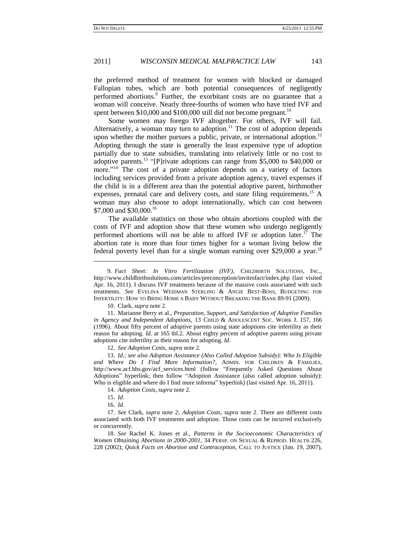<span id="page-2-1"></span>the preferred method of treatment for women with blocked or damaged Fallopian tubes, which are both potential consequences of negligently performed abortions.<sup>9</sup> Further, the exorbitant costs are no guarantee that a woman will conceive. Nearly three-fourths of women who have tried IVF and spent between \$10,000 and \$100,000 still did not become pregnant.<sup>10</sup>

Some women may forego IVF altogether. For others, IVF will fail. Alternatively, a woman may turn to adoption.<sup>11</sup> The cost of adoption depends upon whether the mother pursues a public, private, or international adoption.<sup>12</sup> Adopting through the state is generally the least expensive type of adoption partially due to state subsidies, translating into relatively little or no cost to adoptive parents.<sup>13</sup> "[P]rivate adoptions can range from \$5,000 to \$40,000 or more."<sup>14</sup> The cost of a private adoption depends on a variety of factors including services provided from a private adoption agency, travel expenses if the child is in a different area than the potential adoptive parent, birthmother expenses, prenatal care and delivery costs, and state filing requirements.<sup>15</sup> A woman may also choose to adopt internationally, which can cost between \$7,000 and \$30,000.<sup>16</sup>

The available statistics on those who obtain abortions coupled with the costs of IVF and adoption show that these women who undergo negligently performed abortions will not be able to afford IVF or adoption later.<sup>17</sup> The abortion rate is more than four times higher for a woman living below the federal poverty level than for a single woman earning over \$29,000 a year.<sup>18</sup>

10. Clark, *supra* note 2.

11. Marianne Berry et al., *Preparation, Support, and Satisfaction of Adoptive Families in Agency and Independent Adoptions,* 13 CHILD & ADOLESCENT SOC. WORK J. 157, 166 (1996). About fifty percent of adoptive parents using state adoptions cite infertility as their reason for adopting. *Id*. at 165 tbl.2. About eighty percent of adoptive parents using private adoptions cite infertility as their reason for adopting. *Id*.

12. *See Adoption Costs*, *supra* note 2.

13. *Id*.; *see also Adoption Assistance (Also Called Adoption Subsidy): Who Is Eligible and Where Do I Find More Information?*, ADMIN. FOR CHILDREN & FAMILIES, http://www.acf.hhs.gov/acf\_services.html (follow "Frequently Asked Questions About Adoptions" hyperlink; then follow "Adoption Assistance (also called adoption subsidy): Who is eligible and where do I find more informa" hyperlink) (last visited Apr. 16, 2011).

14. *Adoption Costs*, *supra* note 2.

15. *Id*.

 $\overline{a}$ 

16. *Id*.

18. *See* Rachel K. Jones et al., *Patterns in the Socioeconomic Characteristics of Women Obtaining Abortions in 2000-2001*, 34 PERSP. ON SEXUAL & REPROD. HEALTH 226, 228 (2002); *Quick Facts on Abortion and Contraception*, CALL TO JUSTICE (Jan. 19, 2007),

<span id="page-2-2"></span><span id="page-2-0"></span>

<sup>9.</sup> *Fact Sheet: In Vitro Fertilization (IVF)*, CHILDBIRTH SOLUTIONS, INC., http://www.childbirthsolutions.com/articles/preconception/invitrofact/index.php (last visited Apr. 16, 2011). I discuss IVF treatments because of the massive costs associated with such treatments. *See* EVELINA WEIDMAN STERLING & ANGIE BEST-BOSS, BUDGETING FOR INFERTILITY: HOW TO BRING HOME A BABY WITHOUT BREAKING THE BANK 89-91 (2009).

<sup>17.</sup> *See* Clark, *supra* note 2; *Adoption Costs*, *supra* note 2. There are different costs associated with both IVF treatments and adoption. Those costs can be incurred exclusively or concurrently.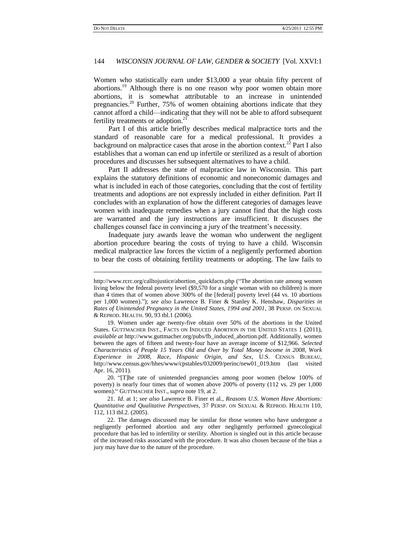### 144 *WISCONSIN JOURNAL OF LAW, GENDER & SOCIETY* [Vol. XXVI:1

<span id="page-3-0"></span>Women who statistically earn under \$13,000 a year obtain fifty percent of abortions.<sup>19</sup> Although there is no one reason why poor women obtain more abortions, it is somewhat attributable to an increase in unintended pregnancies.<sup>20</sup> Further, 75% of women obtaining abortions indicate that they cannot afford a child—indicating that they will not be able to afford subsequent fertility treatments or adoption.<sup>21</sup>

Part I of this article briefly describes medical malpractice torts and the standard of reasonable care for a medical professional. It provides a background on malpractice cases that arose in the abortion context.<sup>22</sup> Part I also establishes that a woman can end up infertile or sterilized as a result of abortion procedures and discusses her subsequent alternatives to have a child.

Part II addresses the state of malpractice law in Wisconsin. This part explains the statutory definitions of economic and noneconomic damages and what is included in each of those categories, concluding that the cost of fertility treatments and adoptions are not expressly included in either definition. Part II concludes with an explanation of how the different categories of damages leave women with inadequate remedies when a jury cannot find that the high costs are warranted and the jury instructions are insufficient. It discusses the challenges counsel face in convincing a jury of the treatment's necessity.

Inadequate jury awards leave the woman who underwent the negligent abortion procedure bearing the costs of trying to have a child. Wisconsin medical malpractice law forces the victim of a negligently performed abortion to bear the costs of obtaining fertility treatments or adopting. The law fails to

20. "[T]he rate of unintended pregnancies among poor women (below 100% of poverty) is nearly four times that of women above 200% of poverty (112 vs. 29 per 1,000 women)." GUTTMACHER INST., *supra* note 19, at 2.

21. *Id*. at 1; *see also* Lawrence B. Finer et al., *Reasons U*.*S*. *Women Have Abortions: Quantitative and Qualitative Perspectives*, 37 PERSP. ON SEXUAL & REPROD. HEALTH 110, 112, 113 tbl.2. (2005).

22. The damages discussed may be similar for those women who have undergone a negligently performed abortion and any other negligently performed gynecological procedure that has led to infertility or sterility. Abortion is singled out in this article because of the increased risks associated with the procedure. It was also chosen because of the bias a jury may have due to the nature of the procedure.

http://www.rcrc.org/calltojustice/abortion\_quickfacts.php ("The abortion rate among women living below the federal poverty level (\$9,570 for a single woman with no children) is more than 4 times that of women above 300% of the [federal] poverty level (44 vs. 10 abortions per 1,000 women)."); *see also* Lawrence B. Finer & Stanley K. Henshaw, *Disparities in Rates of Unintended Pregnancy in the United States, 1994 and 2001*, 38 PERSP. ON SEXUAL & REPROD. HEALTH. 90, 93 tbl.1 (2006).

<sup>19.</sup> Women under age twenty-five obtain over 50% of the abortions in the United States. GUTTMACHER INST., FACTS ON INDUCED ABORTION IN THE UNITED STATES 1 (2011), *available at* http://www.guttmacher.org/pubs/fb\_induced\_abortion.pdf. Additionally, women between the ages of fifteen and twenty-four have an average income of \$12,966. *Selected Characteristics of People 15 Years Old and Over by Total Money Income in 2008, Work Experience in 2008, Race, Hispanic Origin, and Sex*, U.S. CENSUS BUREAU, http://www.census.gov/hhes/www/cpstables/032009/perinc/new01\_019.htm (last visited Apr. 16, 2011).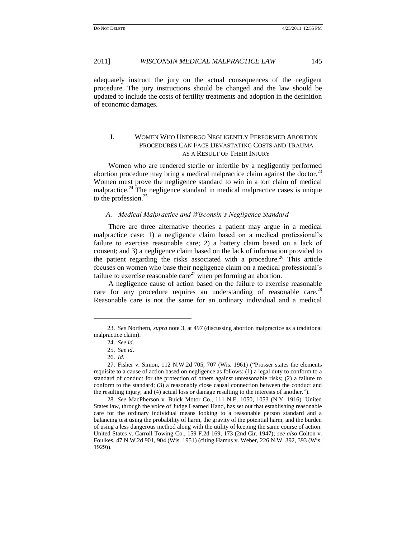adequately instruct the jury on the actual consequences of the negligent procedure. The jury instructions should be changed and the law should be updated to include the costs of fertility treatments and adoption in the definition of economic damages.

# I. WOMEN WHO UNDERGO NEGLIGENTLY PERFORMED ABORTION PROCEDURES CAN FACE DEVASTATING COSTS AND TRAUMA AS A RESULT OF THEIR INJURY

Women who are rendered sterile or infertile by a negligently performed abortion procedure may bring a medical malpractice claim against the doctor.<sup>23</sup> Women must prove the negligence standard to win in a tort claim of medical malpractice.<sup>24</sup> The negligence standard in medical malpractice cases is unique to the profession.<sup>25</sup>

### *A. Medical Malpractice and Wisconsin's Negligence Standard*

There are three alternative theories a patient may argue in a medical malpractice case: 1) a negligence claim based on a medical professional"s failure to exercise reasonable care; 2) a battery claim based on a lack of consent; and 3) a negligence claim based on the lack of information provided to the patient regarding the risks associated with a procedure.<sup>26</sup> This article focuses on women who base their negligence claim on a medical professional"s failure to exercise reasonable care<sup>27</sup> when performing an abortion.

A negligence cause of action based on the failure to exercise reasonable care for any procedure requires an understanding of reasonable care.<sup>28</sup> Reasonable care is not the same for an ordinary individual and a medical

 $\overline{a}$ 

<sup>23.</sup> *See* Northern, *supra* note 3, at 497 (discussing abortion malpractice as a traditional malpractice claim).

<sup>24.</sup> *See id*.

<sup>25.</sup> *See id*.

<sup>26.</sup> *Id*.

<sup>27.</sup> Fisher v. Simon, 112 N.W.2d 705, 707 (Wis. 1961) ("Prosser states the elements requisite to a cause of action based on negligence as follows: (1) a legal duty to conform to a standard of conduct for the protection of others against unreasonable risks; (2) a failure to conform to the standard; (3) a reasonably close causal connection between the conduct and the resulting injury; and (4) actual loss or damage resulting to the interests of another.").

<sup>28.</sup> *See* MacPherson v. Buick Motor Co., 111 N.E. 1050, 1053 (N.Y. 1916). United States law, through the voice of Judge Learned Hand, has set out that establishing reasonable care for the ordinary individual means looking to a reasonable person standard and a balancing test using the probability of harm, the gravity of the potential harm, and the burden of using a less dangerous method along with the utility of keeping the same course of action. United States v. Carroll Towing Co., 159 F.2d 169, 173 (2nd Cir. 1947); *see also* Colton v. Foulkes, 47 N.W.2d 901, 904 (Wis. 1951) (citing Hamus v. Weber, 226 N.W. 392, 393 (Wis. 1929)).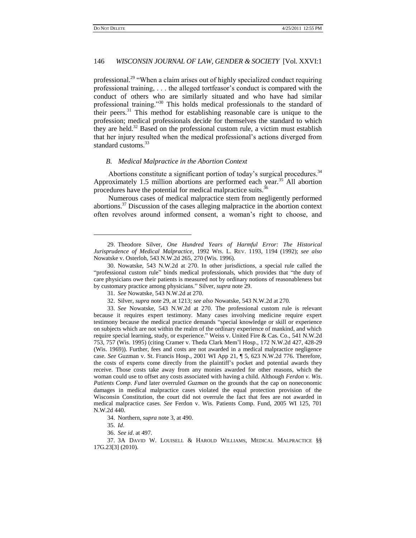$\overline{a}$ 

# 146 *WISCONSIN JOURNAL OF LAW, GENDER & SOCIETY* [Vol. XXVI:1

<span id="page-5-0"></span>professional.<sup>29</sup> "When a claim arises out of highly specialized conduct requiring professional training, . . . the alleged tortfeasor's conduct is compared with the conduct of others who are similarly situated and who have had similar professional training."<sup>30</sup> This holds medical professionals to the standard of their peers.<sup>31</sup> This method for establishing reasonable care is unique to the profession; medical professionals decide for themselves the standard to which they are held. $32$  Based on the professional custom rule, a victim must establish that her injury resulted when the medical professional"s actions diverged from standard customs.<sup>33</sup>

### *B. Medical Malpractice in the Abortion Context*

Abortions constitute a significant portion of today's surgical procedures.<sup>34</sup> Approximately 1.5 million abortions are performed each year.<sup>35</sup> All abortion procedures have the potential for medical malpractice suits.<sup>36</sup>

<span id="page-5-1"></span>Numerous cases of medical malpractice stem from negligently performed abortions.<sup>37</sup> Discussion of the cases alleging malpractice in the abortion context often revolves around informed consent, a woman"s right to choose, and

35. *Id*.

<sup>29.</sup> Theodore Silver, *One Hundred Years of Harmful Error: The Historical Jurisprudence of Medical Malpractice*, 1992 WIS. L. REV. 1193, 1194 (1992); *see also*  Nowatske v. Osterloh, 543 N.W.2d 265, 270 (Wis. 1996).

<sup>30.</sup> Nowatske, 543 N.W.2d at 270. In other jurisdictions, a special rule called the "professional custom rule" binds medical professionals, which provides that "the duty of care physicians owe their patients is measured not by ordinary notions of reasonableness but by customary practice among physicians." Silver, *supra* not[e 29.](#page-5-0)

<sup>31.</sup> *See* Nowatske, 543 N.W.2d at 270.

<sup>32.</sup> Silver, *supra* note 29, at 1213; *see also* Nowatske, 543 N.W.2d at 270.

<sup>33.</sup> *See* Nowatske, 543 N.W.2d at 270. The professional custom rule is relevant because it requires expert testimony. Many cases involving medicine require expert testimony because the medical practice demands "special knowledge or skill or experience on subjects which are not within the realm of the ordinary experience of mankind, and which require special learning, study, or experience." Weiss v. United Fire & Cas. Co., 541 N.W.2d 753, 757 (Wis. 1995) (citing Cramer v. Theda Clark Mem"l Hosp., 172 N.W.2d 427, 428-29 (Wis. 1969)). Further, fees and costs are not awarded in a medical malpractice negligence case. *See* Guzman v. St. Francis Hosp., 2001 WI App 21, ¶ 5, 623 N.W.2d 776. Therefore, the costs of experts come directly from the plaintiff"s pocket and potential awards they receive. Those costs take away from any monies awarded for other reasons, which the woman could use to offset any costs associated with having a child. Although *Ferdon v*. *Wis*. *Patients Comp*. *Fund* later overruled *Guzman* on the grounds that the cap on noneconomic damages in medical malpractice cases violated the equal protection provision of the Wisconsin Constitution, the court did not overrule the fact that fees are not awarded in medical malpractice cases. *See* Ferdon v. Wis. Patients Comp. Fund, 2005 WI 125, 701 N.W.2d 440.

<sup>34.</sup> Northern, *supra* note 3, at 490.

<sup>36.</sup> *See id*. at 497.

<sup>37.</sup> 3A DAVID W. LOUISELL & HAROLD WILLIAMS, MEDICAL MALPRACTICE §§ 17G.23[3] (2010).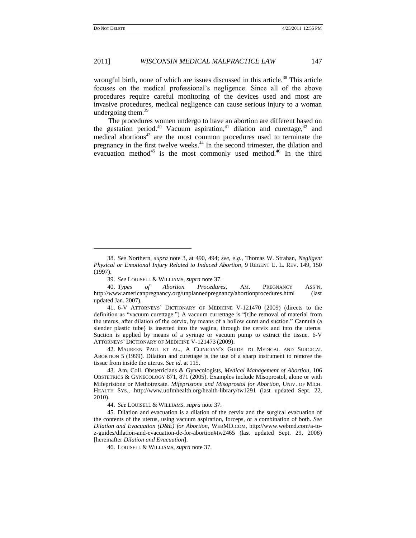### 2011] *WISCONSIN MEDICAL MALPRACTICE LAW* 147

wrongful birth, none of which are issues discussed in this article.<sup>38</sup> This article focuses on the medical professional"s negligence. Since all of the above procedures require careful monitoring of the devices used and most are invasive procedures, medical negligence can cause serious injury to a woman undergoing them. $39$ 

<span id="page-6-3"></span><span id="page-6-2"></span>The procedures women undergo to have an abortion are different based on the gestation period.<sup>40</sup> Vacuum aspiration,<sup>41</sup> dilation and curettage,<sup>42</sup> and medical abortions<sup>43</sup> are the most common procedures used to terminate the pregnancy in the first twelve weeks.<sup>44</sup> In the second trimester, the dilation and evacuation method $45$  is the most commonly used method.<sup>46</sup> In the third

41. 6-V ATTORNEYS" DICTIONARY OF MEDICINE V-121470 (2009) (directs to the definition as "vacuum curettage.") A vacuum currettage is "[t]he removal of material from the uterus, after dilation of the cervix, by means of a hollow curet and suction." Cannula (a slender plastic tube) is inserted into the vagina, through the cervix and into the uterus. Suction is applied by means of a syringe or vacuum pump to extract the tissue. 6-V ATTORNEYS" DICTIONARY OF MEDICINE V-121473 (2009).

42. MAUREEN PAUL ET AL., A CLINICIAN"S GUIDE TO MEDICAL AND SURGICAL ABORTION 5 (1999). Dilation and curettage is the use of a sharp instrument to remove the tissue from inside the uterus. *See id*. at 115.

44. *See* LOUISELL & WILLIAMS, *supra* not[e 37.](#page-5-1)

45. Dilation and evacuation is a dilation of the cervix and the surgical evacuation of the contents of the uterus, using vacuum aspiration, forceps, or a combination of both. *See Dilation and Evacuation (D&E) for Abortion*, WEBMD.COM, http://www.webmd.com/a-toz-guides/dilation-and-evacuation-de-for-abortion#tw2465 (last updated Sept. 29, 2008) [hereinafter *Dilation and Evacuation*].

46. LOUISELL & WILLIAMS, *supra* not[e 37.](#page-5-1)

<span id="page-6-1"></span><span id="page-6-0"></span>

<sup>38.</sup> *See* Northern, *supra* note 3, at 490, 494; *see, e*.*g*., Thomas W. Strahan, *Negligent Physical or Emotional Injury Related to Induced Abortion*, 9 REGENT U. L. REV. 149, 150 (1997).

<sup>39.</sup> *See* LOUISELL & WILLIAMS, *supra* not[e 37.](#page-5-1)

<sup>40.</sup> *Types of Abortion Procedures*, AM. PREGNANCY ASS"N, http://www.americanpregnancy.org/unplannedpregnancy/abortionprocedures.html (last updated Jan. 2007).

<sup>43.</sup> Am. Coll. Obstetricians & Gynecologists, *Medical Management of Abortion*, 106 OBSTETRICS & GYNECOLOGY 871, 871 (2005). Examples include Misoprostol, alone or with Mifepristone or Methotrexate. *Mifepristone and Misoprostol for Abortion*, UNIV. OF MICH. HEALTH SYS., http://www.uofmhealth.org/health-library/tw1291 (last updated Sept. 22, 2010).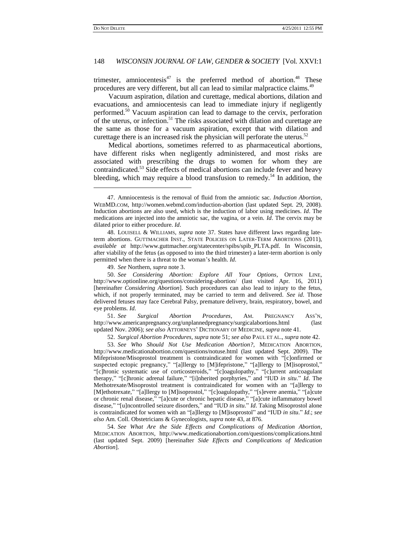<span id="page-7-3"></span><span id="page-7-1"></span> $\overline{a}$ 

# 148 *WISCONSIN JOURNAL OF LAW, GENDER & SOCIETY* [Vol. XXVI:1

<span id="page-7-2"></span>trimester, amniocentesis<sup>47</sup> is the preferred method of abortion.<sup>48</sup> These procedures are very different, but all can lead to similar malpractice claims.<sup>49</sup>

<span id="page-7-0"></span>Vacuum aspiration, dilation and curettage, medical abortions, dilation and evacuations, and amniocentesis can lead to immediate injury if negligently performed.<sup>50</sup> Vacuum aspiration can lead to damage to the cervix, perforation of the uterus, or infection.<sup>51</sup> The risks associated with dilation and curettage are the same as those for a vacuum aspiration, except that with dilation and curettage there is an increased risk the physician will perforate the uterus.<sup>52</sup>

Medical abortions, sometimes referred to as pharmaceutical abortions, have different risks when negligently administered, and most risks are associated with prescribing the drugs to women for whom they are contraindicated.<sup>53</sup> Side effects of medical abortions can include fever and heavy bleeding, which may require a blood transfusion to remedy.<sup>54</sup> In addition, the

49. *See* Northern, *supra* note 3.

50. *See Considering Abortion: Explore All Your Options*, OPTION LINE, http://www.optionline.org/questions/considering-abortion/ (last visited Apr. 16, 2011) [hereinafter *Considering Abortion*]. Such procedures can also lead to injury to the fetus, which, if not properly terminated, may be carried to term and delivered. *See id*. Those delivered fetuses may face Cerebral Palsy, premature delivery, brain, respiratory, bowel, and eye problems. *Id*.

51. *See Surgical Abortion Procedures*, AM. PREGNANCY ASS"N, http://www.americanpregnancy.org/unplannedpregnancy/surgicalabortions.html (last updated Nov. 2006); *see also* ATTORNEYS" DICTIONARY OF MEDICINE, *supra* not[e 41.](#page-6-0)

52. *Surgical Abortion Procedures*, *supra* not[e 51;](#page-7-0) *see also* PAUL ET AL., *supra* not[e 42.](#page-6-1)

53. *See Who Should Not Use Medication Abortion?*, MEDICATION ABORTION, http://www.medicationabortion.com/questions/notuse.html (last updated Sept. 2009). The Mifepristone/Misoprostol treatment is contraindicated for women with "[c]onfirmed or suspected ectopic pregnancy," "[a]llergy to [M]ifepristone," "[a]llergy to [M]isoprostol," "[c]hronic systematic use of corticosteroids," "[c]oagulopathy," "[c]urrent anticoagulant therapy," "[c]hronic adrenal failure," "[i]nherited porphyries," and "IUD *in situ*." *Id*. The Methotrexate/Misoprostol treatment is contraindicated for women with an "[a]llergy to [M]ethotrexate," "[a]llergy to [M]isoprostol," "[c]oagulopathy," "[s]evere anemia," "[a]cute or chronic renal disease," "[a]cute or chronic hepatic disease," "[a]cute inflammatory bowel disease," "[u]ncontrolled seizure disorders," and "IUD *in situ*." *Id*. Taking Misoprostol alone is contraindicated for women with an "[a]llergy to [M]isoprostol" and "IUD *in situ*." *Id*.; *see also* Am. Coll. Obstetricians & Gynecologists, *supra* not[e 43,](#page-6-2) at 876.

54. *See What Are the Side Effects and Complications of Medication Abortion*, MEDICATION ABORTION, http://www.medicationabortion.com/questions/complications.html (last updated Sept. 2009) [hereinafter *Side Effects and Complications of Medication Abortion*].

<sup>47.</sup> Amniocentesis is the removal of fluid from the amniotic sac. *Induction Abortion*, WEBMD.COM, http://women.webmd.com/induction-abortion (last updated Sept. 29, 2008). Induction abortions are also used, which is the induction of labor using medicines. *Id*. The medications are injected into the amniotic sac, the vagina, or a vein. *Id*. The cervix may be dilated prior to either procedure. *Id*.

<sup>48.</sup> LOUISELL & WILLIAMS, *supra* note [37.](#page-5-1) States have different laws regarding lateterm abortions. GUTTMACHER INST., STATE POLICIES ON LATER-TERM ABORTIONS (2011), *available at* http://www.guttmacher.org/statecenter/spibs/spib\_PLTA.pdf. In Wisconsin, after viability of the fetus (as opposed to into the third trimester) a later-term abortion is only permitted when there is a threat to the woman"s health. *Id*.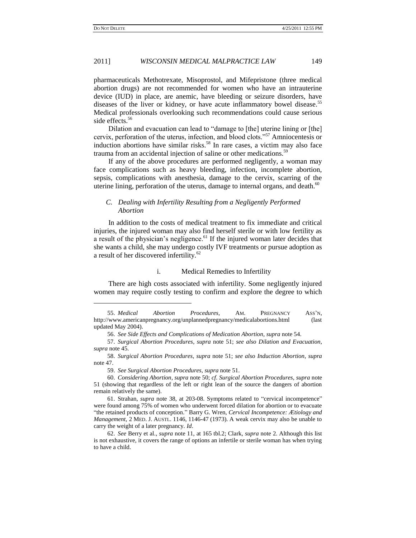### 2011] *WISCONSIN MEDICAL MALPRACTICE LAW* 149

pharmaceuticals Methotrexate, Misoprostol, and Mifepristone (three medical abortion drugs) are not recommended for women who have an intrauterine device (IUD) in place, are anemic, have bleeding or seizure disorders, have diseases of the liver or kidney, or have acute inflammatory bowel disease.<sup>55</sup> Medical professionals overlooking such recommendations could cause serious side effects.<sup>56</sup>

Dilation and evacuation can lead to "damage to [the] uterine lining or [the] cervix, perforation of the uterus, infection, and blood clots."<sup>57</sup> Amniocentesis or induction abortions have similar risks.<sup>58</sup> In rare cases, a victim may also face trauma from an accidental injection of saline or other medications.<sup>59</sup>

If any of the above procedures are performed negligently, a woman may face complications such as heavy bleeding, infection, incomplete abortion, sepsis, complications with anesthesia, damage to the cervix, scarring of the uterine lining, perforation of the uterus, damage to internal organs, and death. $60$ 

### *C. Dealing with Infertility Resulting from a Negligently Performed Abortion*

In addition to the costs of medical treatment to fix immediate and critical injuries, the injured woman may also find herself sterile or with low fertility as a result of the physician's negligence.<sup>61</sup> If the injured woman later decides that she wants a child, she may undergo costly IVF treatments or pursue adoption as a result of her discovered infertility.<sup>62</sup>

#### i. Medical Remedies to Infertility

There are high costs associated with infertility. Some negligently injured women may require costly testing to confirm and explore the degree to which

<sup>55.</sup> *Medical Abortion Procedures*, AM. PREGNANCY ASS"N, http://www.americanpregnancy.org/unplannedpregnancy/medicalabortions.html (last updated May 2004).

<sup>56.</sup> *See Side Effects and Complications of Medication Abortion*, *supra* not[e 54.](#page-7-1)

<sup>57.</sup> *Surgical Abortion Procedures*, *supra* note [51;](#page-7-0) *see also Dilation and Evacuation*, *supra* not[e 45.](#page-6-3)

<sup>58.</sup> *Surgical Abortion Procedures*, *supra* note [51;](#page-7-0) *see also Induction Abortion*, *supra* note [47.](#page-7-2)

<sup>59.</sup> *See Surgical Abortion Procedures*, *supra* not[e 51.](#page-7-0)

<sup>60.</sup> *Considering Abortion*, *supra* note 50; *cf*. *Surgical Abortion Procedures*, *supra* note [51](#page-7-0) (showing that regardless of the left or right lean of the source the dangers of abortion remain relatively the same).

<sup>61.</sup> Strahan, *supra* note 38, at 203-08. Symptoms related to "cervical incompetence" were found among 75% of women who underwent forced dilation for abortion or to evacuate "the retained products of conception." Barry G. Wren, *Cervical Incompetence: Ætiology and Management*, 2 MED. J. AUSTL. 1146, 1146-47 (1973). A weak cervix may also be unable to carry the weight of a later pregnancy. *Id*.

<sup>62.</sup> *See* Berry et al., *supra* note [11,](#page-2-0) at 165 tbl.2; Clark, *supra* note 2. Although this list is not exhaustive, it covers the range of options an infertile or sterile woman has when trying to have a child.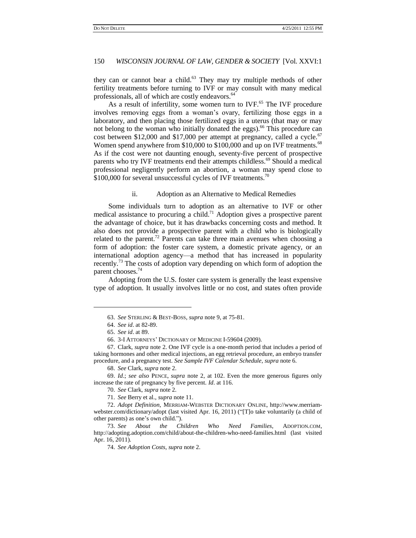they can or cannot bear a child. $63$  They may try multiple methods of other fertility treatments before turning to IVF or may consult with many medical professionals, all of which are costly endeavors.<sup>64</sup>

As a result of infertility, some women turn to IVF.<sup>65</sup> The IVF procedure involves removing eggs from a woman"s ovary, fertilizing those eggs in a laboratory, and then placing those fertilized eggs in a uterus (that may or may not belong to the woman who initially donated the eggs).<sup>66</sup> This procedure can cost between \$12,000 and \$17,000 per attempt at pregnancy, called a cycle.<sup>67</sup> Women spend anywhere from \$10,000 to \$100,000 and up on IVF treatments.<sup>68</sup> As if the cost were not daunting enough, seventy-five percent of prospective parents who try IVF treatments end their attempts childless.<sup>69</sup> Should a medical professional negligently perform an abortion, a woman may spend close to  $$100,000$  for several unsuccessful cycles of IVF treatments.<sup>70</sup>

# ii. Adoption as an Alternative to Medical Remedies

Some individuals turn to adoption as an alternative to IVF or other medical assistance to procuring a child.<sup>71</sup> Adoption gives a prospective parent the advantage of choice, but it has drawbacks concerning costs and method. It also does not provide a prospective parent with a child who is biologically related to the parent.<sup>72</sup> Parents can take three main avenues when choosing a form of adoption: the foster care system, a domestic private agency, or an international adoption agency—a method that has increased in popularity recently.<sup>73</sup> The costs of adoption vary depending on which form of adoption the parent chooses.<sup>74</sup>

Adopting from the U.S. foster care system is generally the least expensive type of adoption. It usually involves little or no cost, and states often provide

l

<sup>63.</sup> *See* STERLING & BEST-BOSS, *supra* not[e 9,](#page-2-1) at 75-81.

<sup>64.</sup> *See id*. at 82-89.

<sup>65.</sup> *See id*. at 89.

<sup>66.</sup> 3-I ATTORNEYS" DICTIONARY OF MEDICINE I-59604 (2009).

<sup>67.</sup> Clark, *supra* note 2. One IVF cycle is a one-month period that includes a period of taking hormones and other medical injections, an egg retrieval procedure, an embryo transfer procedure, and a pregnancy test. *See Sample IVF Calendar Schedule*, *supra* note [6.](#page-1-0)

<sup>68.</sup> *See* Clark, *supra* note 2.

<sup>69.</sup> *Id*.; *see also* PENCE, *supra* note 2, at 102. Even the more generous figures only increase the rate of pregnancy by five percent. *Id*. at 116.

<sup>70.</sup> *See* Clark, *supra* note 2.

<sup>71.</sup> *See* Berry et al., *supra* not[e 11.](#page-2-0)

<sup>72.</sup> *Adopt Definition*, MERRIAM-WEBSTER DICTIONARY ONLINE, http://www.merriamwebster.com/dictionary/adopt (last visited Apr. 16, 2011) ("[T]o take voluntarily (a child of other parents) as one"s own child.").

<sup>73.</sup> *See About the Children Who Need Families*, ADOPTION.COM, http://adopting.adoption.com/child/about-the-children-who-need-families.html (last visited Apr. 16, 2011).

<sup>74.</sup> *See Adoption Costs*, *supra* note 2.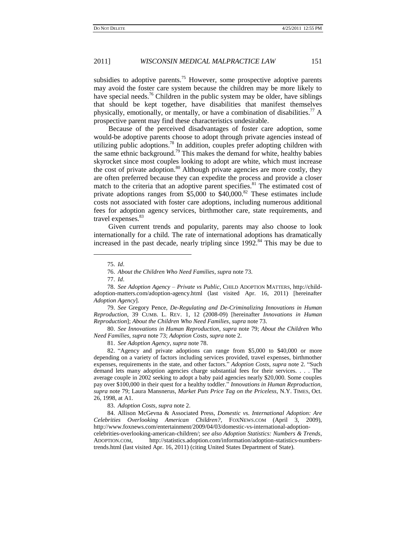subsidies to adoptive parents.<sup>75</sup> However, some prospective adoptive parents may avoid the foster care system because the children may be more likely to have special needs.<sup>76</sup> Children in the public system may be older, have siblings that should be kept together, have disabilities that manifest themselves physically, emotionally, or mentally, or have a combination of disabilities.<sup> $\prime\prime$ </sup> A prospective parent may find these characteristics undesirable.

<span id="page-10-0"></span>Because of the perceived disadvantages of foster care adoption, some would-be adoptive parents choose to adopt through private agencies instead of utilizing public adoptions.<sup>78</sup> In addition, couples prefer adopting children with the same ethnic background.<sup>79</sup> This makes the demand for white, healthy babies skyrocket since most couples looking to adopt are white, which must increase the cost of private adoption.<sup>80</sup> Although private agencies are more costly, they are often preferred because they can expedite the process and provide a closer match to the criteria that an adoptive parent specifies.<sup>81</sup> The estimated cost of private adoptions ranges from  $$5,000$  to  $$40,000$ .<sup>82</sup> These estimates include costs not associated with foster care adoptions, including numerous additional fees for adoption agency services, birthmother care, state requirements, and travel expenses.<sup>83</sup>

Given current trends and popularity, parents may also choose to look internationally for a child. The rate of international adoptions has dramatically increased in the past decade, nearly tripling since  $1992.^{84}$  This may be due to

l

79. *See* Gregory Pence, *De-Regulating and De-Criminalizing Innovations in Human Reproduction*, 39 CUMB. L. REV. 1, 12 (2008-09) [hereinafter *Innovations in Human Reproduction*]; *About the Children Who Need Families*, *supra* note 73.

80. *See Innovations in Human Reproduction*, *supra* note 79; *About the Children Who Need Families*, *supra* note 73; *Adoption Costs*, *supra* note 2.

81. *See Adoption Agency*, *supra* not[e 78.](#page-10-0)

82. "Agency and private adoptions can range from \$5,000 to \$40,000 or more depending on a variety of factors including services provided, travel expenses, birthmother expenses, requirements in the state, and other factors." *Adoption Costs*, *supra* note 2. "Such demand lets many adoption agencies charge substantial fees for their services. . . . The average couple in 2002 seeking to adopt a baby paid agencies nearly \$20,000. Some couples pay over \$100,000 in their quest for a healthy toddler." *Innovations in Human Reproduction, supra* note 79; Laura Mansnerus, *Market Puts Price Tag on the Priceless*, N.Y. TIMES, Oct. 26, 1998, at A1.

83. *Adoption Costs*, *supra* note 2.

84. Allison McGevna & Associated Press, *Domestic vs*. *International Adoption: Are Celebrities Overlooking American Children?*, FOXNEWS.COM (April 3, 2009), http://www.foxnews.com/entertainment/2009/04/03/domestic-vs-international-adoptioncelebrities-overlooking-american-children/; *see also Adoption Statistics: Numbers & Trends*, ADOPTION.COM, http://statistics.adoption.com/information/adoption-statistics-numberstrends.html (last visited Apr. 16, 2011) (citing United States Department of State).

<span id="page-10-1"></span><sup>75.</sup> *Id*.

<sup>76.</sup> *About the Children Who Need Families*, *supra* note 73.

<sup>77.</sup> *Id*.

<sup>78.</sup> *See Adoption Agency – Private vs Public*, CHILD ADOPTION MATTERS, http://childadoption-matters.com/adoption-agency.html (last visited Apr. 16, 2011) [hereinafter *Adoption Agency*].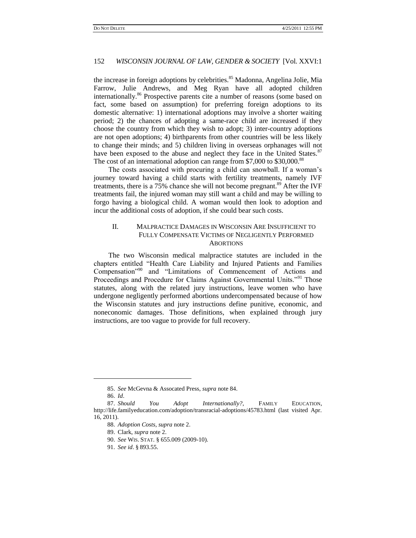the increase in foreign adoptions by celebrities.<sup>85</sup> Madonna, Angelina Jolie, Mia Farrow, Julie Andrews, and Meg Ryan have all adopted children internationally.<sup>86</sup> Prospective parents cite a number of reasons (some based on fact, some based on assumption) for preferring foreign adoptions to its domestic alternative: 1) international adoptions may involve a shorter waiting period; 2) the chances of adopting a same-race child are increased if they choose the country from which they wish to adopt; 3) inter-country adoptions are not open adoptions; 4) birthparents from other countries will be less likely to change their minds; and 5) children living in overseas orphanages will not have been exposed to the abuse and neglect they face in the United States.<sup>87</sup> The cost of an international adoption can range from \$7,000 to \$30,000.<sup>88</sup>

The costs associated with procuring a child can snowball. If a woman's journey toward having a child starts with fertility treatments, namely IVF treatments, there is a 75% chance she will not become pregnant.<sup>89</sup> After the IVF treatments fail, the injured woman may still want a child and may be willing to forgo having a biological child. A woman would then look to adoption and incur the additional costs of adoption, if she could bear such costs.

# II. MALPRACTICE DAMAGES IN WISCONSIN ARE INSUFFICIENT TO FULLY COMPENSATE VICTIMS OF NEGLIGENTLY PERFORMED **ABORTIONS**

The two Wisconsin medical malpractice statutes are included in the chapters entitled "Health Care Liability and Injured Patients and Families Compensation"<sup>90</sup> and "Limitations of Commencement of Actions and Proceedings and Procedure for Claims Against Governmental Units."<sup>91</sup> Those statutes, along with the related jury instructions, leave women who have undergone negligently performed abortions undercompensated because of how the Wisconsin statutes and jury instructions define punitive, economic, and noneconomic damages. Those definitions, when explained through jury instructions, are too vague to provide for full recovery.

l

<sup>85.</sup> *See* McGevna & Assocated Press, *supra* not[e 84.](#page-10-1)

<sup>86.</sup> *Id*.

<sup>87.</sup> *Should You Adopt Internationally?*, FAMILY EDUCATION, http://life.familyeducation.com/adoption/transracial-adoptions/45783.html (last visited Apr. 16, 2011).

<sup>88.</sup> *Adoption Costs*, *supra* note 2.

<sup>89.</sup> Clark, *supra* note 2.

<sup>90.</sup> *See* WIS. STAT. § 655.009 (2009-10).

<sup>91.</sup> *See id*. § 893.55.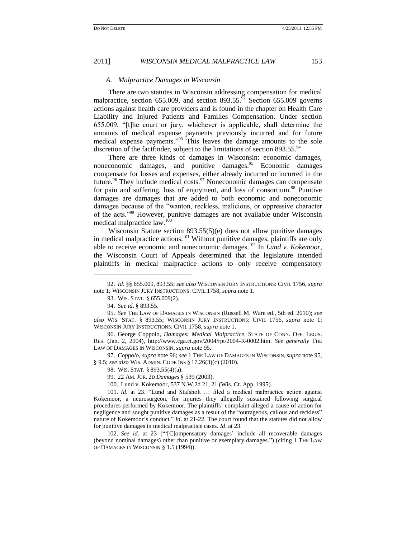#### *A. Malpractice Damages in Wisconsin*

There are two statutes in Wisconsin addressing compensation for medical malpractice, section 655.009, and section 893.55. $92$  Section 655.009 governs actions against health care providers and is found in the chapter on Health Care Liability and Injured Patients and Families Compensation. Under section 655.009, "[t]he court or jury, whichever is applicable, shall determine the amounts of medical expense payments previously incurred and for future medical expense payments."<sup>93</sup> This leaves the damage amounts to the sole discretion of the factfinder, subject to the limitations of section 893.55.<sup>94</sup>

<span id="page-12-0"></span>There are three kinds of damages in Wisconsin: economic damages, noneconomic damages, and punitive damages.<sup>95</sup> Economic damages compensate for losses and expenses, either already incurred or incurred in the future.<sup>96</sup> They include medical costs.<sup>97</sup> Noneconomic damages can compensate for pain and suffering, loss of enjoyment, and loss of consortium.<sup>98</sup> Punitive damages are damages that are added to both economic and noneconomic damages because of the "wanton, reckless, malicious, or oppressive character of the acts."<sup>99</sup> However, punitive damages are not available under Wisconsin medical malpractice law.<sup>100</sup>

Wisconsin Statute section 893.55(5)(e) does not allow punitive damages in medical malpractice actions.<sup>101</sup> Without punitive damages, plaintiffs are only able to receive economic and noneconomic damages.<sup>102</sup> In *Lund v. Kokemoor*, the Wisconsin Court of Appeals determined that the legislature intended plaintiffs in medical malpractice actions to only receive compensatory

l

97. *Coppolo*, *supra* note 96; *see* 1 THE LAW OF DAMAGES IN WISCONSIN, *supra* note 95, § 9.5; *see also* WIS. ADMIN. CODE INS § 17.26(3)(c) (2010).

99. 22 AM. JUR. 2D *Damages* § 539 (2003).

<sup>92.</sup> *Id*. §§ 655.009, 893.55; *see also* WISCONSIN JURY INSTRUCTIONS: CIVIL 1756, *supra* note 1; WISCONSIN JURY INSTRUCTIONS: CIVIL 1758, *supra* note 1.

<sup>93.</sup> WIS. STAT. § 655.009(2).

<sup>94.</sup> *See id*. § 893.55.

<sup>95.</sup> *See* THE LAW OF DAMAGES IN WISCONSIN (Russell M. Ware ed., 5th ed. 2010); *see also* WIS. STAT. § 893.55; WISCONSIN JURY INSTRUCTIONS: CIVIL 1756, *supra* note 1; WISCONSIN JURY INSTRUCTIONS: CIVIL 1758, *supra* note 1.

<sup>96.</sup> George Coppolo, *Damages: Medical Malpractice*, STATE OF CONN. OFF. LEGIS. RES. (Jan. 2, 2004), http://www.cga.ct.gov/2004/rpt/2004-R-0002.htm. *See generally* THE LAW OF DAMAGES IN WISCONSIN, *supra* note 95.

<sup>98.</sup> WIS. STAT. § 893.55(4)(a).

<sup>100.</sup> Lund v. Kokemoor, 537 N.W.2d 21, 21 (Wis. Ct. App. 1995).

<sup>101.</sup> *Id*. at 23. "Lund and Stafsholt … filed a medical malpractice action against Kokemoor, a neurosurgeon, for injuries they allegedly sustained following surgical procedures performed by Kokemoor. The plaintiffs" complaint alleged a cause of action for negligence and sought punitive damages as a result of the "outrageous, callous and reckless" nature of Kokemoor's conduct." *Id.* at 21-22. The court found that the statutes did not allow for punitive damages in medical malpractice cases. *Id*. at 23.

<sup>102.</sup> See id. at 23 ("[C]ompensatory damages' include all recoverable damages (beyond nominal damages) other than punitive or exemplary damages.") (citing 1 THE LAW OF DAMAGES IN WISCONSIN § 1.5 (1994)).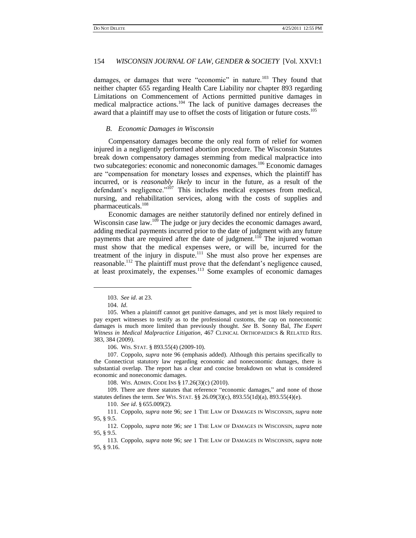damages, or damages that were "economic" in nature.<sup>103</sup> They found that neither chapter 655 regarding Health Care Liability nor chapter 893 regarding Limitations on Commencement of Actions permitted punitive damages in medical malpractice actions.<sup>104</sup> The lack of punitive damages decreases the award that a plaintiff may use to offset the costs of litigation or future costs.<sup>105</sup>

### *B. Economic Damages in Wisconsin*

Compensatory damages become the only real form of relief for women injured in a negligently performed abortion procedure. The Wisconsin Statutes break down compensatory damages stemming from medical malpractice into two subcategories: economic and noneconomic damages.<sup>106</sup> Economic damages are "compensation for monetary losses and expenses, which the plaintiff has incurred, or is *reasonably likely* to incur in the future, as a result of the defendant's negligence."<sup>107</sup> This includes medical expenses from medical, nursing, and rehabilitation services, along with the costs of supplies and pharmaceuticals.<sup>108</sup>

Economic damages are neither statutorily defined nor entirely defined in Wisconsin case law.<sup>109</sup> The judge or jury decides the economic damages award, adding medical payments incurred prior to the date of judgment with any future payments that are required after the date of judgment.<sup>110</sup> The injured woman must show that the medical expenses were, or will be, incurred for the treatment of the injury in dispute. $111$  She must also prove her expenses are reasonable.<sup>112</sup> The plaintiff must prove that the defendant's negligence caused, at least proximately, the expenses.<sup>113</sup> Some examples of economic damages

 $\overline{a}$ 

106. WIS. STAT. § 893.55(4) (2009-10).

108. WIS. ADMIN. CODE INS § 17.26(3)(c) (2010).

110. *See id*. § 655.009(2).

111. Coppolo, *supra* note [96;](#page-12-0) *see* 1 THE LAW OF DAMAGES IN WISCONSIN, *supra* note 95, § 9.5.

112. Coppolo, *supra* note [96;](#page-12-0) *see* 1 THE LAW OF DAMAGES IN WISCONSIN, *supra* note 95, § 9.5.

113. Coppolo, *supra* note [96;](#page-12-0) *see* 1 THE LAW OF DAMAGES IN WISCONSIN, *supra* note 95, § 9.16.

<sup>103.</sup> *See id*. at 23.

<sup>104.</sup> *Id*.

<sup>105.</sup> When a plaintiff cannot get punitive damages, and yet is most likely required to pay expert witnesses to testify as to the professional customs, the cap on noneconomic damages is much more limited than previously thought. *See* B. Sonny Bal, *The Expert Witness in Medical Malpractice Litigation*, 467 CLINICAL ORTHOPAEDICS & RELATED RES. 383, 384 (2009).

<sup>107.</sup> Coppolo, *supra* note [96](#page-12-0) (emphasis added). Although this pertains specifically to the Connecticut statutory law regarding economic and noneconomic damages, there is substantial overlap. The report has a clear and concise breakdown on what is considered economic and noneconomic damages.

<sup>109.</sup> There are three statutes that reference "economic damages," and none of those statutes defines the term. *See* WIS. STAT. §§ 26.09(3)(c), 893.55(1d)(a), 893.55(4)(e).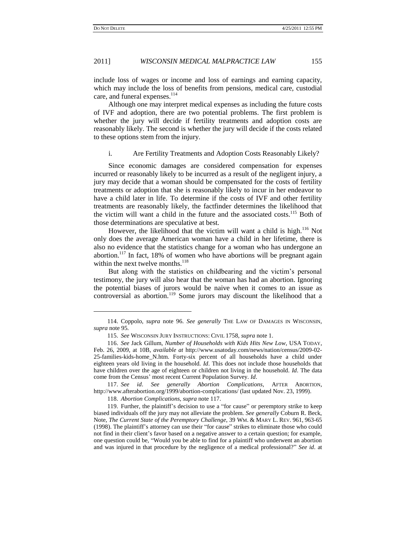### 2011] *WISCONSIN MEDICAL MALPRACTICE LAW* 155

include loss of wages or income and loss of earnings and earning capacity, which may include the loss of benefits from pensions, medical care, custodial care, and funeral expenses.<sup>114</sup>

Although one may interpret medical expenses as including the future costs of IVF and adoption, there are two potential problems. The first problem is whether the jury will decide if fertility treatments and adoption costs are reasonably likely. The second is whether the jury will decide if the costs related to these options stem from the injury.

#### i. Are Fertility Treatments and Adoption Costs Reasonably Likely?

Since economic damages are considered compensation for expenses incurred or reasonably likely to be incurred as a result of the negligent injury, a jury may decide that a woman should be compensated for the costs of fertility treatments or adoption that she is reasonably likely to incur in her endeavor to have a child later in life. To determine if the costs of IVF and other fertility treatments are reasonably likely, the factfinder determines the likelihood that the victim will want a child in the future and the associated costs.<sup>115</sup> Both of those determinations are speculative at best.

<span id="page-14-1"></span>However, the likelihood that the victim will want a child is high.<sup>116</sup> Not only does the average American woman have a child in her lifetime, there is also no evidence that the statistics change for a woman who has undergone an abortion.<sup>117</sup> In fact, 18% of women who have abortions will be pregnant again within the next twelve months. $^{118}$ 

<span id="page-14-0"></span>But along with the statistics on childbearing and the victim"s personal testimony, the jury will also hear that the woman has had an abortion. Ignoring the potential biases of jurors would be naive when it comes to an issue as controversial as abortion.<sup>119</sup> Some jurors may discount the likelihood that a

117. *See id*. *See generally Abortion Complications*, AFTER ABORTION, http://www.afterabortion.org/1999/abortion-complications/ (last updated Nov. 23, 1999).

118. *Abortion Complications*, *supra* not[e 117.](#page-14-0)

<sup>114.</sup> Coppolo, *supra* note [96.](#page-12-0) *See generally* THE LAW OF DAMAGES IN WISCONSIN, *supra* note 95.

<sup>115.</sup> *See* WISCONSIN JURY INSTRUCTIONS: CIVIL 1758, *supra* note 1.

<sup>116.</sup> *See* Jack Gillum, *Number of Households with Kids Hits New Low*, USA TODAY, Feb. 26, 2009, at 10B, *available at* http://www.usatoday.com/news/nation/census/2009-02- 25-families-kids-home\_N.htm. Forty-six percent of all households have a child under eighteen years old living in the household. *Id*. This does not include those households that have children over the age of eighteen or children not living in the household. *Id*. The data come from the Census" most recent Current Population Survey. *Id*.

<sup>119.</sup> Further, the plaintiff"s decision to use a "for cause" or peremptory strike to keep biased individuals off the jury may not alleviate the problem. *See generally* Coburn R. Beck, Note, *The Current State of the Peremptory Challenge*, 39 WM. & MARY L. REV. 961, 963-65 (1998). The plaintiff"s attorney can use their "for cause" strikes to eliminate those who could not find in their client"s favor based on a negative answer to a certain question; for example, one question could be, "Would you be able to find for a plaintiff who underwent an abortion and was injured in that procedure by the negligence of a medical professional?" *See id*. at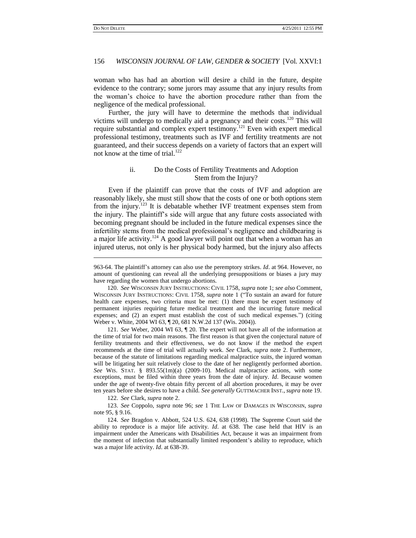### 156 *WISCONSIN JOURNAL OF LAW, GENDER & SOCIETY* [Vol. XXVI:1

woman who has had an abortion will desire a child in the future, despite evidence to the contrary; some jurors may assume that any injury results from the woman"s choice to have the abortion procedure rather than from the negligence of the medical professional.

Further, the jury will have to determine the methods that individual victims will undergo to medically aid a pregnancy and their costs.<sup>120</sup> This will require substantial and complex expert testimony.<sup>121</sup> Even with expert medical professional testimony, treatments such as IVF and fertility treatments are not guaranteed, and their success depends on a variety of factors that an expert will not know at the time of trial.<sup>122</sup>

### ii. Do the Costs of Fertility Treatments and Adoption Stem from the Injury?

Even if the plaintiff can prove that the costs of IVF and adoption are reasonably likely, she must still show that the costs of one or both options stem from the injury.<sup>123</sup> It is debatable whether IVF treatment expenses stem from the injury. The plaintiff"s side will argue that any future costs associated with becoming pregnant should be included in the future medical expenses since the infertility stems from the medical professional"s negligence and childbearing is a major life activity.<sup>124</sup> A good lawyer will point out that when a woman has an injured uterus, not only is her physical body harmed, but the injury also affects

121. *See* Weber, 2004 WI 63, ¶ 20. The expert will not have all of the information at the time of trial for two main reasons. The first reason is that given the conjectural nature of fertility treatments and their effectiveness, we do not know if the method the expert recommends at the time of trial will actually work. *See* Clark, *supra* note 2. Furthermore, because of the statute of limitations regarding medical malpractice suits, the injured woman will be litigating her suit relatively close to the date of her negligently performed abortion. *See* WIS. STAT. § 893.55(1m)(a) (2009-10). Medical malpractice actions, with some exceptions, must be filed within three years from the date of injury. *Id*. Because women under the age of twenty-five obtain fifty percent of all abortion procedures, it may be over ten years before she desires to have a child. *See generally* GUTTMACHER INST., *supra* not[e 19.](#page-3-0)

122. *See* Clark, *supra* note 2.

123. *See* Coppolo, *supra* note [96;](#page-12-0) *see* 1 THE LAW OF DAMAGES IN WISCONSIN, *supra* note 95, § 9.16.

124. *See* Bragdon v. Abbott, 524 U.S. 624, 638 (1998). The Supreme Court said the ability to reproduce is a major life activity. *Id*. at 638. The case held that HIV is an impairment under the Americans with Disabilities Act, because it was an impairment from the moment of infection that substantially limited respondent"s ability to reproduce, which was a major life activity. *Id*. at 638-39.

<sup>963-64.</sup> The plaintiff"s attorney can also use the peremptory strikes. *Id*. at 964. However, no amount of questioning can reveal all the underlying presuppositions or biases a jury may have regarding the women that undergo abortions.

<sup>120.</sup> *See* WISCONSIN JURY INSTRUCTIONS: CIVIL 1758, *supra* note 1; *see also* Comment, WISCONSIN JURY INSTRUCTIONS: CIVIL 1758, *supra* note 1 ("To sustain an award for future health care expenses, two criteria must be met: (1) there must be expert testimony of permanent injuries requiring future medical treatment and the incurring future medical expenses; and (2) an expert must establish the cost of such medical expenses.") (citing Weber v. White, 2004 WI 63, ¶ 20, 681 N.W.2d 137 (Wis. 2004)).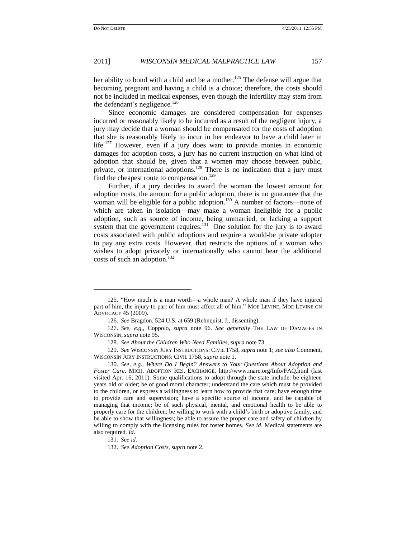her ability to bond with a child and be a mother.<sup>125</sup> The defense will argue that becoming pregnant and having a child is a choice; therefore, the costs should not be included in medical expenses, even though the infertility may stem from the defendant's negligence.<sup>126</sup>

Since economic damages are considered compensation for expenses incurred or reasonably likely to be incurred as a result of the negligent injury, a jury may decide that a woman should be compensated for the costs of adoption that she is reasonably likely to incur in her endeavor to have a child later in life.<sup>127</sup> However, even if a jury does want to provide monies in economic damages for adoption costs, a jury has no current instruction on what kind of adoption that should be, given that a women may choose between public, private, or international adoptions.<sup>128</sup> There is no indication that a jury must find the cheapest route to compensation.<sup>129</sup>

Further, if a jury decides to award the woman the lowest amount for adoption costs, the amount for a public adoption, there is no guarantee that the woman will be eligible for a public adoption.<sup>130</sup> A number of factors—none of which are taken in isolation—may make a woman ineligible for a public adoption, such as source of income, being unmarried, or lacking a support system that the government requires.<sup>131</sup> One solution for the jury is to award costs associated with public adoptions and require a would-be private adopter to pay any extra costs. However, that restricts the options of a woman who wishes to adopt privately or internationally who cannot bear the additional costs of such an adoption.<sup>132</sup>

129. *See* WISCONSIN JURY INSTRUCTIONS: CIVIL 1758, *supra* note 1; *see also* Comment, WISCONSIN JURY INSTRUCTIONS: CIVIL 1758, *supra* note 1.

131. *See id*.

 $\overline{\phantom{a}}$ 

<sup>125.</sup> "How much is a man worth—a whole man? A whole man if they have injured part of him, the injury to part of him must affect all of him." MOE LEVINE, MOE LEVINE ON ADVOCACY 45 (2009).

<sup>126.</sup> *See* Bragdon, 524 U.S. at 659 (Rehnquist, J., dissenting).

<sup>127.</sup> *See, e*.*g*., Coppolo, *supra* note [96.](#page-12-0) *See generally* THE LAW OF DAMAGES IN WISCONSIN, *supra* note 95.

<sup>128.</sup> *See About the Children Who Need Families*, *supra* note 73.

<sup>130.</sup> *See, e*.*g*., *Where Do I Begin? Answers to Your Questions About Adoption and Foster Care*, MICH. ADOPTION RES. EXCHANGE, http://www.mare.org/Info/FAQ.html (last visited Apr. 16, 2011). Some qualifications to adopt through the state include: be eighteen years old or older; be of good moral character; understand the care which must be provided to the children, or express a willingness to learn how to provide that care; have enough time to provide care and supervision; have a specific source of income, and be capable of managing that income; be of such physical, mental, and emotional health to be able to properly care for the children; be willing to work with a child"s birth or adoptive family, and be able to show that willingness; be able to assure the proper care and safety of children by willing to comply with the licensing rules for foster homes. *See id*. Medical statements are also required. *Id*.

<sup>132.</sup> *See Adoption Costs*, *supra* note 2.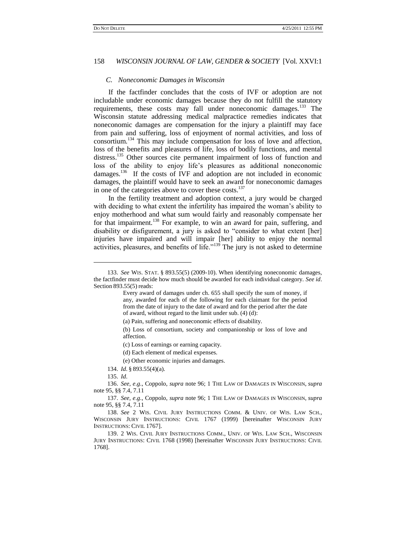#### *C. Noneconomic Damages in Wisconsin*

If the factfinder concludes that the costs of IVF or adoption are not includable under economic damages because they do not fulfill the statutory requirements, these costs may fall under noneconomic damages.<sup>133</sup> The Wisconsin statute addressing medical malpractice remedies indicates that noneconomic damages are compensation for the injury a plaintiff may face from pain and suffering, loss of enjoyment of normal activities, and loss of consortium.<sup>134</sup> This may include compensation for loss of love and affection, loss of the benefits and pleasures of life, loss of bodily functions, and mental distress.<sup>135</sup> Other sources cite permanent impairment of loss of function and loss of the ability to enjoy life"s pleasures as additional noneconomic damages.<sup>136</sup> If the costs of IVF and adoption are not included in economic damages, the plaintiff would have to seek an award for noneconomic damages in one of the categories above to cover these costs.<sup>137</sup>

In the fertility treatment and adoption context, a jury would be charged with deciding to what extent the infertility has impaired the woman"s ability to enjoy motherhood and what sum would fairly and reasonably compensate her for that impairment.<sup>138</sup> For example, to win an award for pain, suffering, and disability or disfigurement, a jury is asked to "consider to what extent [her] injuries have impaired and will impair [her] ability to enjoy the normal activities, pleasures, and benefits of life."<sup>139</sup> The jury is not asked to determine

l

<sup>133.</sup> *See* WIS. STAT. § 893.55(5) (2009-10). When identifying noneconomic damages, the factfinder must decide how much should be awarded for each individual category. *See id*. Section 893.55(5) reads:

Every award of damages under ch. 655 shall specify the sum of money, if any, awarded for each of the following for each claimant for the period from the date of injury to the date of award and for the period after the date of award, without regard to the limit under sub. (4) (d):

<sup>(</sup>a) Pain, suffering and noneconomic effects of disability.

<sup>(</sup>b) Loss of consortium, society and companionship or loss of love and affection.

<sup>(</sup>c) Loss of earnings or earning capacity.

<sup>(</sup>d) Each element of medical expenses.

<sup>(</sup>e) Other economic injuries and damages.

<sup>134.</sup> *Id*. § 893.55(4)(a).

<sup>135.</sup> *Id*.

<sup>136.</sup> *See, e*.*g*., Coppolo, *supra* note [96;](#page-12-0) 1 THE LAW OF DAMAGES IN WISCONSIN, *supra* note 95, §§ 7.4, 7.11

<sup>137.</sup> *See, e*.*g*., Coppolo, *supra* note [96;](#page-12-0) 1 THE LAW OF DAMAGES IN WISCONSIN, *supra* note 95, §§ 7.4, 7.11

<sup>138.</sup> *See* 2 WIS. CIVIL JURY INSTRUCTIONS COMM. & UNIV. OF WIS. LAW SCH., WISCONSIN JURY INSTRUCTIONS: CIVIL 1767 (1999) [hereinafter WISCONSIN JURY INSTRUCTIONS: CIVIL 1767].

<sup>139.</sup> 2 WIS. CIVIL JURY INSTRUCTIONS COMM., UNIV. OF WIS. LAW SCH., WISCONSIN JURY INSTRUCTIONS: CIVIL 1768 (1998) [hereinafter WISCONSIN JURY INSTRUCTIONS: CIVIL 1768].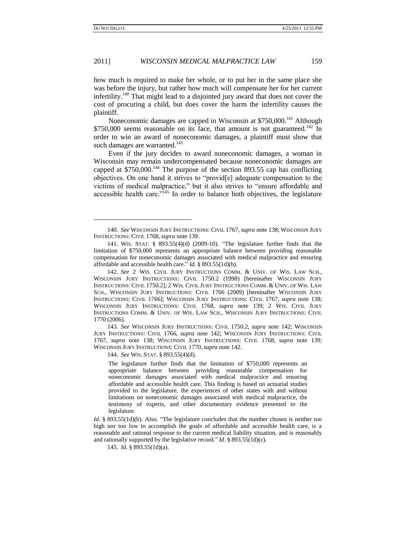#### 2011] *WISCONSIN MEDICAL MALPRACTICE LAW* 159

how much is required to make her whole, or to put her in the same place she was before the injury, but rather how much will compensate her for her current infertility.<sup>140</sup> That might lead to a disjointed jury award that does not cover the cost of procuring a child, but does cover the harm the infertility causes the plaintiff.

Noneconomic damages are capped in Wisconsin at \$750,000.<sup>141</sup> Although  $$750,000$  seems reasonable on its face, that amount is not guaranteed.<sup>142</sup> In order to win an award of noneconomic damages, a plaintiff must show that such damages are warranted.<sup>143</sup>

Even if the jury decides to award noneconomic damages, a woman in Wisconsin may remain undercompensated because noneconomic damages are capped at  $$750,000$ .<sup>144</sup> The purpose of the section 893.55 cap has conflicting objectives. On one hand it strives to "provid[e] adequate compensation to the victims of medical malpractice," but it also strives to "ensure affordable and accessible health care."<sup>145</sup> In order to balance both objectives, the legislature

143. *See* WISCONSIN JURY INSTRUCTIONS: CIVIL 1750.2, *supra* note 142; WISCONSIN JURY INSTRUCTIONS: CIVIL 1766, *supra* note 142; WISCONSIN JURY INSTRUCTIONS: CIVIL 1767, *supra* note 138; WISCONSIN JURY INSTRUCTIONS: CIVIL 1768, *supra* note 139; WISCONSIN JURY INSTRUCTIONS: CIVIL 1770, *supra* note 142.

144. *See* WIS. STAT. § 893.55(4)(d).

The legislature further finds that the limitation of \$750,000 represents an appropriate balance between providing reasonable compensation for noneconomic damages associated with medical malpractice and ensuring affordable and accessible health care. This finding is based on actuarial studies provided to the legislature, the experiences of other states with and without limitations on noneconomic damages associated with medical malpractice, the testimony of experts, and other documentary evidence presented to the legislature.

*Id.* § 893.55(1d)(b). Also, "The legislature concludes that the number chosen is neither too high nor too low to accomplish the goals of affordable and accessible health care, is a reasonable and rational response to the current medical liability situation, and is reasonably and rationally supported by the legislative record." *Id*. § 893.55(1d)(c).

145. *Id*. § 893.55(1d)(a).

<sup>140.</sup> *See* WISCONSIN JURY INSTRUCTIONS: CIVIL 1767, *supra* note 138; WISCONSIN JURY INSTRUCTIONS: CIVIL 1768, *supra* note 139.

<sup>141.</sup> WIS. STAT. § 893.55(4)(d) (2009-10). "The legislature further finds that the limitation of \$750,000 represents an appropriate balance between providing reasonable compensation for noneconomic damages associated with medical malpractice and ensuring affordable and accessible health care." *Id*. § 893.55(1d)(b).

<sup>142.</sup> *See* 2 WIS. CIVIL JURY INSTRUCTIONS COMM. & UNIV. OF WIS. LAW SCH., WISCONSIN JURY INSTRUCTIONS: CIVIL 1750.2 (1998) [hereinafter WISCONSIN JURY INSTRUCTIONS: CIVIL 1750.2]; 2 WIS. CIVIL JURY INSTRUCTIONS COMM. & UNIV. OF WIS. LAW SCH., WISCONSIN JURY INSTRUCTIONS: CIVIL 1766 (2009) [hereinafter WISCONSIN JURY INSTRUCTIONS: CIVIL 1766]; WISCONSIN JURY INSTRUCTIONS: CIVIL 1767, *supra* note 138; WISCONSIN JURY INSTRUCTIONS: CIVIL 1768, *supra* note 139; 2 WIS. CIVIL JURY INSTRUCTIONS COMM. & UNIV. OF WIS. LAW SCH., WISCONSIN JURY INSTRUCTIONS: CIVIL 1770 (2006).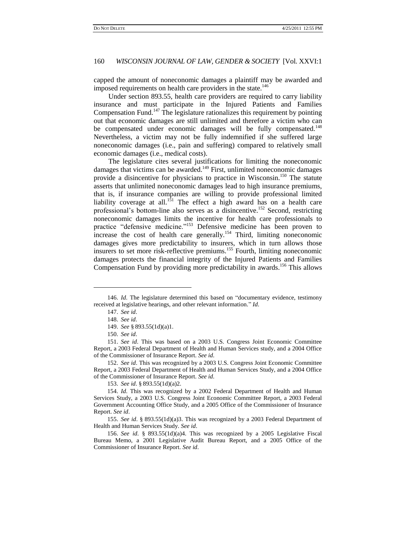capped the amount of noneconomic damages a plaintiff may be awarded and imposed requirements on health care providers in the state.<sup>146</sup>

Under section 893.55, health care providers are required to carry liability insurance and must participate in the Injured Patients and Families Compensation Fund.<sup>147</sup> The legislature rationalizes this requirement by pointing out that economic damages are still unlimited and therefore a victim who can be compensated under economic damages will be fully compensated.<sup>148</sup> Nevertheless, a victim may not be fully indemnified if she suffered large noneconomic damages (i.e., pain and suffering) compared to relatively small economic damages (i.e., medical costs).

The legislature cites several justifications for limiting the noneconomic damages that victims can be awarded.<sup>149</sup> First, unlimited noneconomic damages provide a disincentive for physicians to practice in Wisconsin.<sup>150</sup> The statute asserts that unlimited noneconomic damages lead to high insurance premiums, that is, if insurance companies are willing to provide professional limited liability coverage at all.<sup>151</sup> The effect a high award has on a health care professional"s bottom-line also serves as a disincentive.<sup>152</sup> Second, restricting noneconomic damages limits the incentive for health care professionals to practice "defensive medicine."<sup>153</sup> Defensive medicine has been proven to increase the cost of health care generally.<sup>154</sup> Third, limiting noneconomic damages gives more predictability to insurers, which in turn allows those insurers to set more risk-reflective premiums.<sup>155</sup> Fourth, limiting noneconomic damages protects the financial integrity of the Injured Patients and Families Compensation Fund by providing more predictability in awards.<sup>156</sup> This allows

 $\overline{\phantom{a}}$ 

153. *See id*. § 893.55(1d)(a)2.

156. *See id*. § 893.55(1d)(a)4. This was recognized by a 2005 Legislative Fiscal Bureau Memo, a 2001 Legislative Audit Bureau Report, and a 2005 Office of the Commissioner of Insurance Report. *See id*.

<sup>146.</sup> *Id*. The legislature determined this based on "documentary evidence, testimony received at legislative hearings, and other relevant information." *Id*.

<sup>147.</sup> *See id*.

<sup>148.</sup> *See id*.

<sup>149.</sup> *See* § 893.55(1d)(a)1.

<sup>150.</sup> *See id*.

<sup>151.</sup> *See id*. This was based on a 2003 U.S. Congress Joint Economic Committee Report, a 2003 Federal Department of Health and Human Services study, and a 2004 Office of the Commissioner of Insurance Report. *See id*.

<sup>152.</sup> *See id*. This was recognized by a 2003 U.S. Congress Joint Economic Committee Report, a 2003 Federal Department of Health and Human Services Study, and a 2004 Office of the Commissioner of Insurance Report. *See id*.

<sup>154.</sup> *Id*. This was recognized by a 2002 Federal Department of Health and Human Services Study, a 2003 U.S. Congress Joint Economic Committee Report, a 2003 Federal Government Accounting Office Study, and a 2005 Office of the Commissioner of Insurance Report. *See id*.

<sup>155.</sup> *See id*. § 893.55(1d)(a)3. This was recognized by a 2003 Federal Department of Health and Human Services Study. *See id*.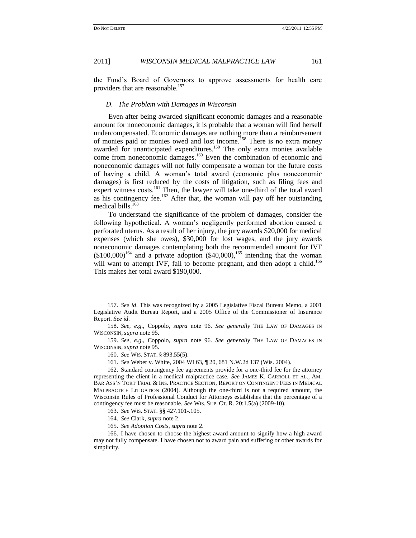the Fund"s Board of Governors to approve assessments for health care providers that are reasonable.<sup>157</sup>

#### *D. The Problem with Damages in Wisconsin*

Even after being awarded significant economic damages and a reasonable amount for noneconomic damages, it is probable that a woman will find herself undercompensated. Economic damages are nothing more than a reimbursement of monies paid or monies owed and lost income.<sup>158</sup> There is no extra money awarded for unanticipated expenditures.<sup>159</sup> The only extra monies available come from noneconomic damages.<sup>160</sup> Even the combination of economic and noneconomic damages will not fully compensate a woman for the future costs of having a child. A woman"s total award (economic plus noneconomic damages) is first reduced by the costs of litigation, such as filing fees and expert witness costs.<sup>161</sup> Then, the lawyer will take one-third of the total award as his contingency fee.<sup>162</sup> After that, the woman will pay off her outstanding medical bills.<sup>163</sup>

To understand the significance of the problem of damages, consider the following hypothetical. A woman"s negligently performed abortion caused a perforated uterus. As a result of her injury, the jury awards \$20,000 for medical expenses (which she owes), \$30,000 for lost wages, and the jury awards noneconomic damages contemplating both the recommended amount for IVF  $($100,000)$ <sup>164</sup> and a private adoption  $($40,000)$ ,<sup>165</sup> intending that the woman will want to attempt IVF, fail to become pregnant, and then adopt a child.<sup>166</sup> This makes her total award \$190,000.

l

<sup>157.</sup> *See id*. This was recognized by a 2005 Legislative Fiscal Bureau Memo, a 2001 Legislative Audit Bureau Report, and a 2005 Office of the Commissioner of Insurance Report. *See id*.

<sup>158.</sup> *See, e*.*g*., Coppolo, *supra* note [96.](#page-12-0) *See generally* THE LAW OF DAMAGES IN WISCONSIN, *supra* note 95.

<sup>159.</sup> *See, e*.*g*., Coppolo, *supra* note 96. *See generally* THE LAW OF DAMAGES IN WISCONSIN, *supra* note 95.

<sup>160.</sup> *See* WIS. STAT. § 893.55(5).

<sup>161.</sup> *See* Weber v. White, 2004 WI 63, ¶ 20, 681 N.W.2d 137 (Wis. 2004).

<sup>162.</sup> Standard contingency fee agreements provide for a one-third fee for the attorney representing the client in a medical malpractice case. *See* JAMES K. CARROLL ET AL., AM. BAR ASS"N TORT TRIAL & INS. PRACTICE SECTION, REPORT ON CONTINGENT FEES IN MEDICAL MALPRACTICE LITIGATION (2004). Although the one-third is not a required amount, the Wisconsin Rules of Professional Conduct for Attorneys establishes that the percentage of a contingency fee must be reasonable. *See* WIS. SUP. CT. R. 20:1.5(a) (2009-10).

<sup>163.</sup> *See* WIS. STAT. §§ 427.101-.105.

<sup>164.</sup> *See* Clark, *supra* note 2.

<sup>165.</sup> *See Adoption Costs*, *supra* note 2.

<sup>166.</sup> I have chosen to choose the highest award amount to signify how a high award may not fully compensate. I have chosen not to award pain and suffering or other awards for simplicity.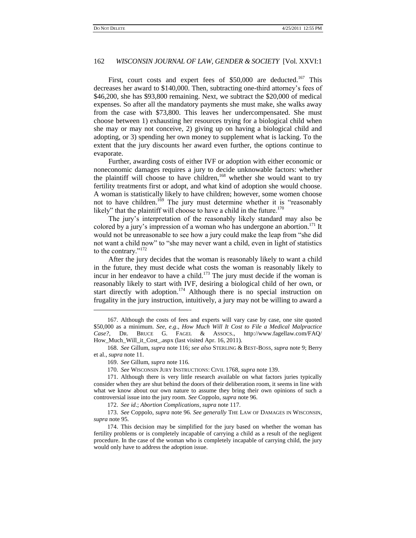First, court costs and expert fees of  $$50,000$  are deducted.<sup>167</sup> This decreases her award to \$140,000. Then, subtracting one-third attorney"s fees of \$46,200, she has \$93,800 remaining. Next, we subtract the \$20,000 of medical expenses. So after all the mandatory payments she must make, she walks away from the case with \$73,800. This leaves her undercompensated. She must choose between 1) exhausting her resources trying for a biological child when she may or may not conceive, 2) giving up on having a biological child and adopting, or 3) spending her own money to supplement what is lacking. To the extent that the jury discounts her award even further, the options continue to evaporate.

Further, awarding costs of either IVF or adoption with either economic or noneconomic damages requires a jury to decide unknowable factors: whether the plaintiff will choose to have children,<sup>168</sup> whether she would want to try fertility treatments first or adopt, and what kind of adoption she would choose. A woman is statistically likely to have children; however, some women choose not to have children.<sup>169</sup> The jury must determine whether it is "reasonably likely" that the plaintiff will choose to have a child in the future.<sup>170</sup>

The jury"s interpretation of the reasonably likely standard may also be colored by a jury's impression of a woman who has undergone an abortion.<sup>171</sup> It would not be unreasonable to see how a jury could make the leap from "she did not want a child now" to "she may never want a child, even in light of statistics to the contrary."<sup>172</sup>

After the jury decides that the woman is reasonably likely to want a child in the future, they must decide what costs the woman is reasonably likely to incur in her endeavor to have a child.<sup>173</sup> The jury must decide if the woman is reasonably likely to start with IVF, desiring a biological child of her own, or start directly with adoption.<sup>174</sup> Although there is no special instruction on frugality in the jury instruction, intuitively, a jury may not be willing to award a

 $\overline{\phantom{a}}$ 

<sup>167.</sup> Although the costs of fees and experts will vary case by case, one site quoted \$50,000 as a minimum. *See, e*.*g*., *How Much Will It Cost to File a Medical Malpractice Case?*, DR. BRUCE G. FAGEL & ASSOCS., http://www.fagellaw.com/FAQ/ How\_Much\_Will\_it\_Cost\_.aspx (last visited Apr. 16, 2011).

<sup>168.</sup> *See* Gillum, *supra* not[e 116;](#page-14-1) *see also* STERLING & BEST-BOSS, *supra* not[e 9;](#page-2-1) Berry et al., *supra* not[e 11.](#page-2-0)

<sup>169.</sup> *See* Gillum, *supra* not[e 116.](#page-14-1)

<sup>170.</sup> *See* WISCONSIN JURY INSTRUCTIONS: CIVIL 1768, *supra* note 139.

<sup>171.</sup> Although there is very little research available on what factors juries typically consider when they are shut behind the doors of their deliberation room, it seems in line with what we know about our own nature to assume they bring their own opinions of such a controversial issue into the jury room. *See* Coppolo, *supra* note [96.](#page-12-0)

<sup>172.</sup> *See id*.; *Abortion Complications*, *supra* not[e 117.](#page-14-0)

<sup>173.</sup> *See* Coppolo, *supra* note [96.](#page-12-0) *See generally* THE LAW OF DAMAGES IN WISCONSIN, *supra* note 95.

<sup>174.</sup> This decision may be simplified for the jury based on whether the woman has fertility problems or is completely incapable of carrying a child as a result of the negligent procedure. In the case of the woman who is completely incapable of carrying child, the jury would only have to address the adoption issue.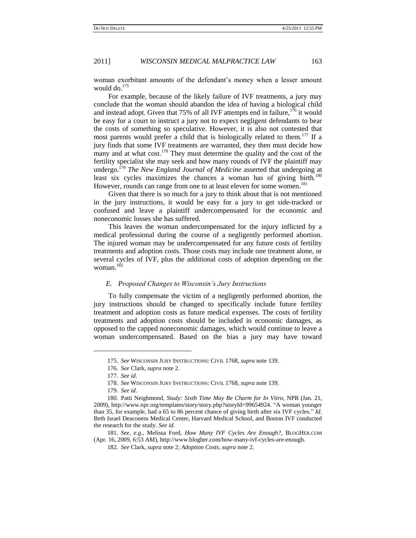woman exorbitant amounts of the defendant"s money when a lesser amount would do.<sup>175</sup>

For example, because of the likely failure of IVF treatments, a jury may conclude that the woman should abandon the idea of having a biological child and instead adopt. Given that  $75\%$  of all IVF attempts end in failure,  $176$  it would be easy for a court to instruct a jury not to expect negligent defendants to bear the costs of something so speculative. However, it is also not contested that most parents would prefer a child that is biologically related to them.<sup>177</sup> If a jury finds that some IVF treatments are warranted, they then must decide how many and at what cost.<sup>178</sup> They must determine the quality and the cost of the fertility specialist she may seek and how many rounds of IVF the plaintiff may undergo.<sup>179</sup> *The New England Journal of Medicine* asserted that undergoing at least six cycles maximizes the chances a woman has of giving birth.<sup>180</sup> However, rounds can range from one to at least eleven for some women.<sup>181</sup>

Given that there is so much for a jury to think about that is not mentioned in the jury instructions, it would be easy for a jury to get side-tracked or confused and leave a plaintiff undercompensated for the economic and noneconomic losses she has suffered.

This leaves the woman undercompensated for the injury inflicted by a medical professional during the course of a negligently performed abortion. The injured woman may be undercompensated for any future costs of fertility treatments and adoption costs. Those costs may include one treatment alone, or several cycles of IVF, plus the additional costs of adoption depending on the woman.<sup>182</sup>

### *E. Proposed Changes to Wisconsin's Jury Instructions*

To fully compensate the victim of a negligently performed abortion, the jury instructions should be changed to specifically include future fertility treatment and adoption costs as future medical expenses. The costs of fertility treatments and adoption costs should be included in economic damages, as opposed to the capped noneconomic damages, which would continue to leave a woman undercompensated. Based on the bias a jury may have toward

 $\overline{\phantom{a}}$ 

<sup>175.</sup> *See* WISCONSIN JURY INSTRUCTIONS: CIVIL 1768, *supra* note 139.

<sup>176.</sup> *See* Clark, *supra* note 2.

<sup>177.</sup> *See id*.

<sup>178.</sup> *See* WISCONSIN JURY INSTRUCTIONS: CIVIL 1768, *supra* note 139.

<sup>179.</sup> *See id*.

<sup>180.</sup> Patti Neighmond, *Study: Sixth Time May Be Charm for In Vitro*, NPR (Jan. 21, 2009), http://www.npr.org/templates/story/story.php?storyId=99654924. "A woman younger than 35, for example, had a 65 to 86 percent chance of giving birth after six IVF cycles." *Id*. Beth Israel Deaconess Medical Center, Harvard Medical School, and Boston IVF conducted the research for the study. *See id*.

<sup>181.</sup> *See, e*.*g*., Melissa Ford, *How Many IVF Cycles Are Enough?*, BLOGHER.COM (Apr. 16, 2009, 6:53 AM), http://www.blogher.com/how-many-ivf-cycles-are-enough.

<sup>182.</sup> *See* Clark, *supra* note 2; *Adoption Costs*, *supra* note 2.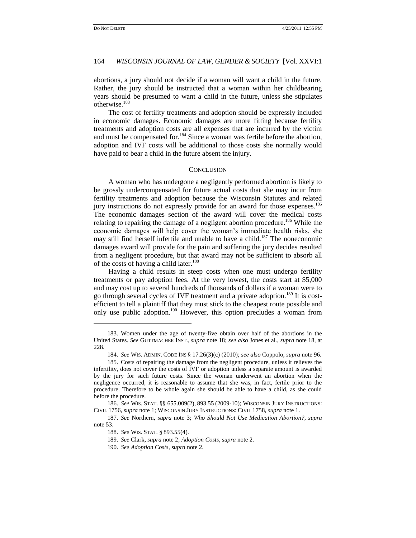### 164 *WISCONSIN JOURNAL OF LAW, GENDER & SOCIETY* [Vol. XXVI:1

abortions, a jury should not decide if a woman will want a child in the future. Rather, the jury should be instructed that a woman within her childbearing years should be presumed to want a child in the future, unless she stipulates otherwise.<sup>183</sup>

The cost of fertility treatments and adoption should be expressly included in economic damages. Economic damages are more fitting because fertility treatments and adoption costs are all expenses that are incurred by the victim and must be compensated for.<sup>184</sup> Since a woman was fertile before the abortion, adoption and IVF costs will be additional to those costs she normally would have paid to bear a child in the future absent the injury.

### **CONCLUSION**

A woman who has undergone a negligently performed abortion is likely to be grossly undercompensated for future actual costs that she may incur from fertility treatments and adoption because the Wisconsin Statutes and related jury instructions do not expressly provide for an award for those expenses.<sup>185</sup> The economic damages section of the award will cover the medical costs relating to repairing the damage of a negligent abortion procedure.<sup>186</sup> While the economic damages will help cover the woman"s immediate health risks, she may still find herself infertile and unable to have a child.<sup>187</sup> The noneconomic damages award will provide for the pain and suffering the jury decides resulted from a negligent procedure, but that award may not be sufficient to absorb all of the costs of having a child later.<sup>188</sup>

Having a child results in steep costs when one must undergo fertility treatments or pay adoption fees. At the very lowest, the costs start at \$5,000 and may cost up to several hundreds of thousands of dollars if a woman were to go through several cycles of IVF treatment and a private adoption.<sup>189</sup> It is costefficient to tell a plaintiff that they must stick to the cheapest route possible and only use public adoption.<sup>190</sup> However, this option precludes a woman from

<sup>183.</sup> Women under the age of twenty-five obtain over half of the abortions in the United States. *See* GUTTMACHER INST.*, supra* note [18;](#page-2-2) *see also* Jones et al., *supra* not[e 18,](#page-2-2) at 228.

<sup>184.</sup> *See* WIS. ADMIN. CODE INS § 17.26(3)(c) (2010); *see also* Coppolo, *supra* not[e 96.](#page-12-0)

<sup>185.</sup> Costs of repairing the damage from the negligent procedure, unless it relieves the infertility, does not cover the costs of IVF or adoption unless a separate amount is awarded by the jury for such future costs. Since the woman underwent an abortion when the negligence occurred, it is reasonable to assume that she was, in fact, fertile prior to the procedure. Therefore to be whole again she should be able to have a child, as she could before the procedure.

<sup>186.</sup> *See* WIS. STAT. §§ 655.009(2), 893.55 (2009-10); WISCONSIN JURY INSTRUCTIONS: CIVIL 1756, *supra* note 1; WISCONSIN JURY INSTRUCTIONS: CIVIL 1758, *supra* note 1.

<sup>187.</sup> *See* Northern, *supra* note 3; *Who Should Not Use Medication Abortion?*, *supra* note [53.](#page-7-3)

<sup>188.</sup> *See* WIS. STAT. § 893.55(4).

<sup>189.</sup> *See* Clark, *supra* note 2; *Adoption Costs*, *supra* note 2.

<sup>190.</sup> *See Adoption Costs*, *supra* note 2.